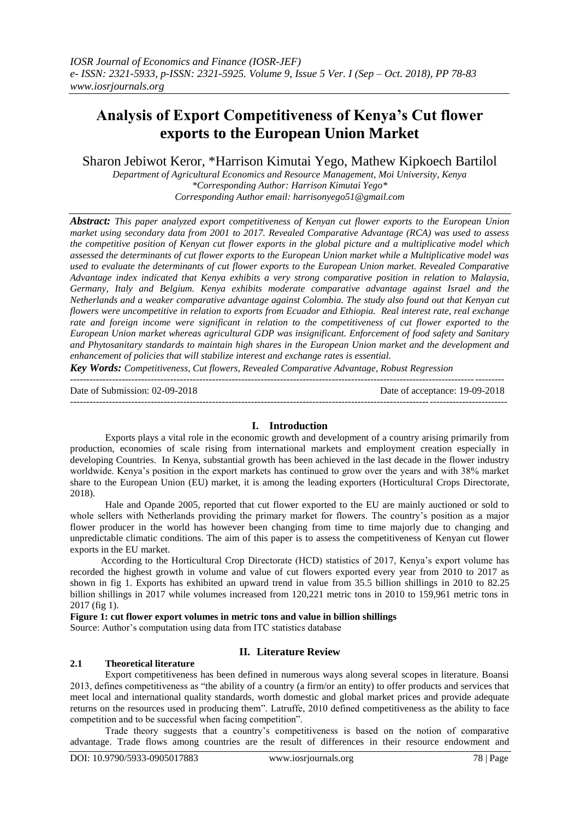# **Analysis of Export Competitiveness of Kenya's Cut flower exports to the European Union Market**

Sharon Jebiwot Keror, \*Harrison Kimutai Yego, Mathew Kipkoech Bartilol

*Department of Agricultural Economics and Resource Management, Moi University, Kenya \*Corresponding Author: Harrison Kimutai Yego\* Corresponding Author email: [harrisonyego51@gmail.com](mailto:harrisonyego51@gmail.com)*

*Abstract: This paper analyzed export competitiveness of Kenyan cut flower exports to the European Union market using secondary data from 2001 to 2017. Revealed Comparative Advantage (RCA) was used to assess the competitive position of Kenyan cut flower exports in the global picture and a multiplicative model which assessed the determinants of cut flower exports to the European Union market while a Multiplicative model was used to evaluate the determinants of cut flower exports to the European Union market. Revealed Comparative Advantage index indicated that Kenya exhibits a very strong comparative position in relation to Malaysia, Germany, Italy and Belgium. Kenya exhibits moderate comparative advantage against Israel and the Netherlands and a weaker comparative advantage against Colombia. The study also found out that Kenyan cut flowers were uncompetitive in relation to exports from Ecuador and Ethiopia. Real interest rate, real exchange rate and foreign income were significant in relation to the competitiveness of cut flower exported to the European Union market whereas agricultural GDP was insignificant. Enforcement of food safety and Sanitary and Phytosanitary standards to maintain high shares in the European Union market and the development and enhancement of policies that will stabilize interest and exchange rates is essential.*

*Key Words: Competitiveness, Cut flowers, Revealed Comparative Advantage, Robust Regression*

-------------------------------------------------------------------------------------------------------------------------------------- Date of Submission: 02-09-2018 Date of acceptance: 19-09-2018 ---------------------------------------------------------------------------------------------------------------------------------------

## **I. Introduction**

Exports plays a vital role in the economic growth and development of a country arising primarily from production, economies of scale rising from international markets and employment creation especially in developing Countries. In Kenya, substantial growth has been achieved in the last decade in the flower industry worldwide. Kenya's position in the export markets has continued to grow over the years and with 38% market share to the European Union (EU) market, it is among the leading exporters (Horticultural Crops Directorate, 2018).

Hale and Opande 2005, reported that cut flower exported to the EU are mainly auctioned or sold to whole sellers with Netherlands providing the primary market for flowers. The country's position as a major flower producer in the world has however been changing from time to time majorly due to changing and unpredictable climatic conditions. The aim of this paper is to assess the competitiveness of Kenyan cut flower exports in the EU market.

According to the Horticultural Crop Directorate (HCD) statistics of 2017, Kenya's export volume has recorded the highest growth in volume and value of cut flowers exported every year from 2010 to 2017 as shown in fig 1. Exports has exhibited an upward trend in value from 35.5 billion shillings in 2010 to 82.25 billion shillings in 2017 while volumes increased from 120,221 metric tons in 2010 to 159,961 metric tons in 2017 (fig 1).

#### **Figure 1: cut flower export volumes in metric tons and value in billion shillings**

Source: Author's computation using data from ITC statistics database

## **II. Literature Review**

#### **2.1 Theoretical literature**

Export competitiveness has been defined in numerous ways along several scopes in literature. Boansi 2013, defines competitiveness as "the ability of a country (a firm/or an entity) to offer products and services that meet local and international quality standards, worth domestic and global market prices and provide adequate returns on the resources used in producing them". Latruffe, 2010 defined competitiveness as the ability to face competition and to be successful when facing competition".

Trade theory suggests that a country's competitiveness is based on the notion of comparative advantage. Trade flows among countries are the result of differences in their resource endowment and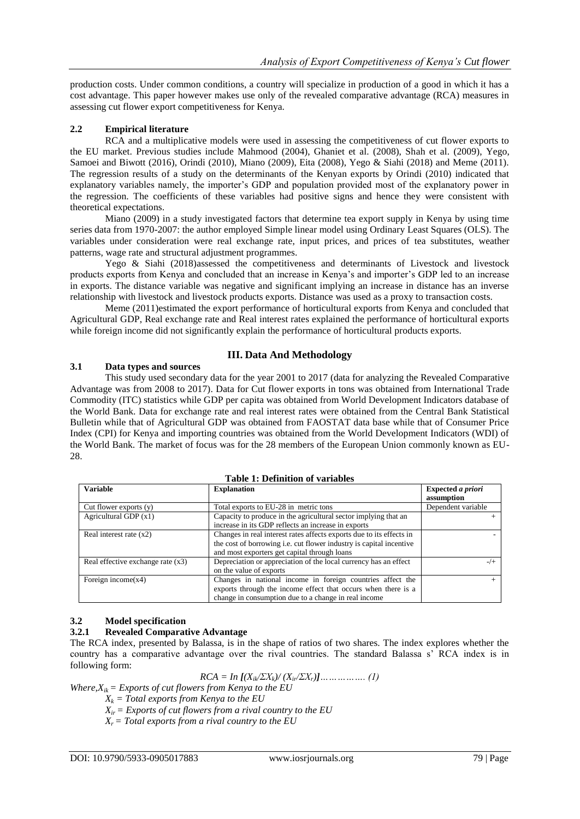production costs. Under common conditions, a country will specialize in production of a good in which it has a cost advantage. This paper however makes use only of the revealed comparative advantage (RCA) measures in assessing cut flower export competitiveness for Kenya.

## **2.2 Empirical literature**

RCA and a multiplicative models were used in assessing the competitiveness of cut flower exports to the EU market. Previous studies include Mahmood (2004), Ghaniet et al. (2008), Shah et al. (2009), Yego, Samoei and Biwott (2016), Orindi (2010), Miano (2009), Eita (2008), Yego & Siahi (2018) and Meme (2011). The regression results of a study on the determinants of the Kenyan exports by Orindi (2010) indicated that explanatory variables namely, the importer's GDP and population provided most of the explanatory power in the regression. The coefficients of these variables had positive signs and hence they were consistent with theoretical expectations.

Miano (2009) in a study investigated factors that determine tea export supply in Kenya by using time series data from 1970-2007: the author employed Simple linear model using Ordinary Least Squares (OLS). The variables under consideration were real exchange rate, input prices, and prices of tea substitutes, weather patterns, wage rate and structural adjustment programmes.

Yego & Siahi (2018)assessed the competitiveness and determinants of Livestock and livestock products exports from Kenya and concluded that an increase in Kenya's and importer's GDP led to an increase in exports. The distance variable was negative and significant implying an increase in distance has an inverse relationship with livestock and livestock products exports. Distance was used as a proxy to transaction costs.

Meme (2011)estimated the export performance of horticultural exports from Kenya and concluded that Agricultural GDP, Real exchange rate and Real interest rates explained the performance of horticultural exports while foreign income did not significantly explain the performance of horticultural products exports.

# **III. Data And Methodology**

### **3.1 Data types and sources**

This study used secondary data for the year 2001 to 2017 (data for analyzing the Revealed Comparative Advantage was from 2008 to 2017). Data for Cut flower exports in tons was obtained from International Trade Commodity (ITC) statistics while GDP per capita was obtained from World Development Indicators database of the World Bank. Data for exchange rate and real interest rates were obtained from the Central Bank Statistical Bulletin while that of Agricultural GDP was obtained from FAOSTAT data base while that of Consumer Price Index (CPI) for Kenya and importing countries was obtained from the World Development Indicators (WDI) of the World Bank. The market of focus was for the 28 members of the European Union commonly known as EU-28.

| <b>Variable</b>                     | <b>Explanation</b>                                                         | Expected a priori  |
|-------------------------------------|----------------------------------------------------------------------------|--------------------|
|                                     |                                                                            | assumption         |
| Cut flower exports $(y)$            | Total exports to EU-28 in metric tons                                      | Dependent variable |
| Agricultural GDP $(x1)$             | Capacity to produce in the agricultural sector implying that an            |                    |
|                                     | increase in its GDP reflects an increase in exports                        |                    |
| Real interest rate $(x2)$           | Changes in real interest rates affects exports due to its effects in       |                    |
|                                     | the cost of borrowing <i>i.e.</i> cut flower industry is capital incentive |                    |
|                                     | and most exporters get capital through loans                               |                    |
| Real effective exchange rate $(x3)$ | Depreciation or appreciation of the local currency has an effect           | $-/-$              |
|                                     | on the value of exports                                                    |                    |
| Foreign income $(x4)$               | Changes in national income in foreign countries affect the                 |                    |
|                                     | exports through the income effect that occurs when there is a              |                    |
|                                     | change in consumption due to a change in real income                       |                    |

# **Table 1: Definition of variables**

# **3.2 Model specification**

# **3.2.1 Revealed Comparative Advantage**

The RCA index, presented by Balassa, is in the shape of ratios of two shares. The index explores whether the country has a comparative advantage over the rival countries. The standard Balassa s' RCA index is in following form:

*RCA = In [(Xik/ΣXk)/ (Xir/ΣXr)]……………. (1)*

*Where,* $X_{ik}$  *= Exports of cut flowers from Kenya to the EU* 

- $X_k$  = Total exports from Kenya to the EU
- $X_{ir}$  = Exports of cut flowers from a rival country to the EU
- $X_r = Total$  exports from a rival country to the EU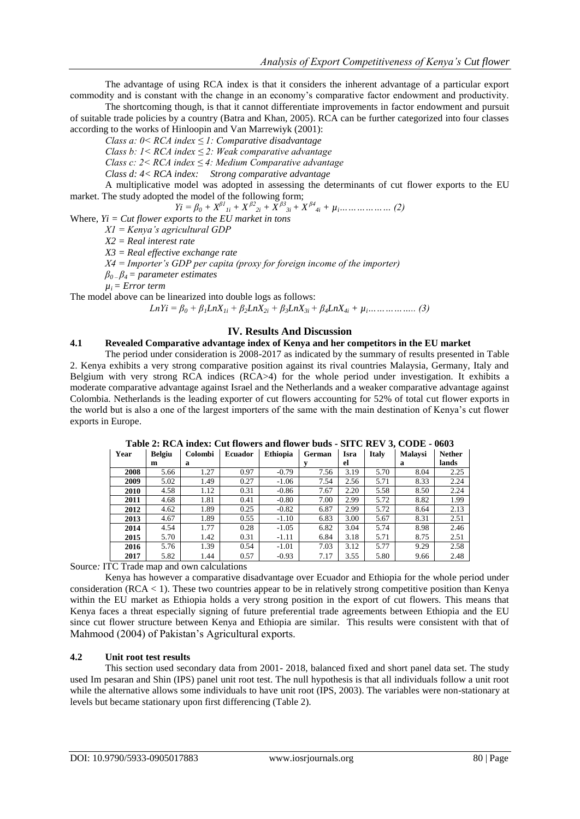The advantage of using RCA index is that it considers the inherent advantage of a particular export commodity and is constant with the change in an economy's comparative factor endowment and productivity.

The shortcoming though, is that it cannot differentiate improvements in factor endowment and pursuit of suitable trade policies by a country (Batra and Khan, 2005). RCA can be further categorized into four classes according to the works of Hinloopin and Van Marrewiyk (2001):

*Class a: 0< RCA index ≤ 1: Comparative disadvantage*

*Class b: 1< RCA index ≤ 2: Weak comparative advantage*

*Class c: 2< RCA index ≤ 4: Medium Comparative advantage*

*Class d: 4< RCA index: Strong comparative advantage*

A multiplicative model was adopted in assessing the determinants of cut flower exports to the EU market. The study adopted the model of the following form;

$$
Yi = \beta_0 + X^{\beta}I_{1i} + X^{\beta}I_{2i} + X^{\beta}I_{3i} + X^{\beta}I_{4i} + \mu_i
$$
............ (2)

Where, *Yi = Cut flower exports to the EU market in tons*

*X1 = Kenya's agricultural GDP*

*X2 = Real interest rate*

*X3 = Real effective exchange rate*

*X4 = Importer's GDP per capita (proxy for foreign income of the importer)*

*β0 – β4 = parameter estimates*

 $\mu_i = Error \ term$ 

The model above can be linearized into double logs as follows:

 $LnYi = \beta_0 + \beta_1 LnX_{1i} + \beta_2 LnX_{2i} + \beta_3 LnX_{3i} + \beta_4 LnX_{4i} + \mu_i \dots \dots \dots \dots \dots$  (3)

### **IV. Results And Discussion**

#### **4.1 Revealed Comparative advantage index of Kenya and her competitors in the EU market**

The period under consideration is 2008-2017 as indicated by the summary of results presented in Table 2. Kenya exhibits a very strong comparative position against its rival countries Malaysia, Germany, Italy and Belgium with very strong RCA indices (RCA>4) for the whole period under investigation. It exhibits a moderate comparative advantage against Israel and the Netherlands and a weaker comparative advantage against Colombia. Netherlands is the leading exporter of cut flowers accounting for 52% of total cut flower exports in the world but is also a one of the largest importers of the same with the main destination of Kenya's cut flower exports in Europe.

| Year | <b>Belgiu</b> | <b>Colombi</b> | <b>Ecuador</b> | <b>Ethiopia</b> | German | Isra | <b>Italy</b> | <b>Malaysi</b> | <b>Nether</b> |
|------|---------------|----------------|----------------|-----------------|--------|------|--------------|----------------|---------------|
|      | m             | a              |                |                 |        | el   |              | а              | lands         |
| 2008 | 5.66          | 1.27           | 0.97           | $-0.79$         | 7.56   | 3.19 | 5.70         | 8.04           | 2.25          |
| 2009 | 5.02          | 1.49           | 0.27           | $-1.06$         | 7.54   | 2.56 | 5.71         | 8.33           | 2.24          |
| 2010 | 4.58          | 1.12           | 0.31           | $-0.86$         | 7.67   | 2.20 | 5.58         | 8.50           | 2.24          |
| 2011 | 4.68          | 1.81           | 0.41           | $-0.80$         | 7.00   | 2.99 | 5.72         | 8.82           | 1.99          |
| 2012 | 4.62          | 1.89           | 0.25           | $-0.82$         | 6.87   | 2.99 | 5.72         | 8.64           | 2.13          |
| 2013 | 4.67          | 1.89           | 0.55           | $-1.10$         | 6.83   | 3.00 | 5.67         | 8.31           | 2.51          |
| 2014 | 4.54          | 1.77           | 0.28           | $-1.05$         | 6.82   | 3.04 | 5.74         | 8.98           | 2.46          |
| 2015 | 5.70          | 1.42           | 0.31           | $-1.11$         | 6.84   | 3.18 | 5.71         | 8.75           | 2.51          |
| 2016 | 5.76          | 1.39           | 0.54           | $-1.01$         | 7.03   | 3.12 | 5.77         | 9.29           | 2.58          |
| 2017 | 5.82          | 1.44           | 0.57           | $-0.93$         | 7.17   | 3.55 | 5.80         | 9.66           | 2.48          |

**Table 2: RCA index: Cut flowers and flower buds - SITC REV 3, CODE - 0603**

Source*:* ITC Trade map and own calculations

Kenya has however a comparative disadvantage over Ecuador and Ethiopia for the whole period under consideration (RCA < 1). These two countries appear to be in relatively strong competitive position than Kenya within the EU market as Ethiopia holds a very strong position in the export of cut flowers. This means that Kenya faces a threat especially signing of future preferential trade agreements between Ethiopia and the EU since cut flower structure between Kenya and Ethiopia are similar. This results were consistent with that of Mahmood (2004) of Pakistan's Agricultural exports.

#### **4.2 Unit root test results**

This section used secondary data from 2001- 2018, balanced fixed and short panel data set. The study used Im pesaran and Shin (IPS) panel unit root test. The null hypothesis is that all individuals follow a unit root while the alternative allows some individuals to have unit root (IPS, 2003). The variables were non-stationary at levels but became stationary upon first differencing (Table 2).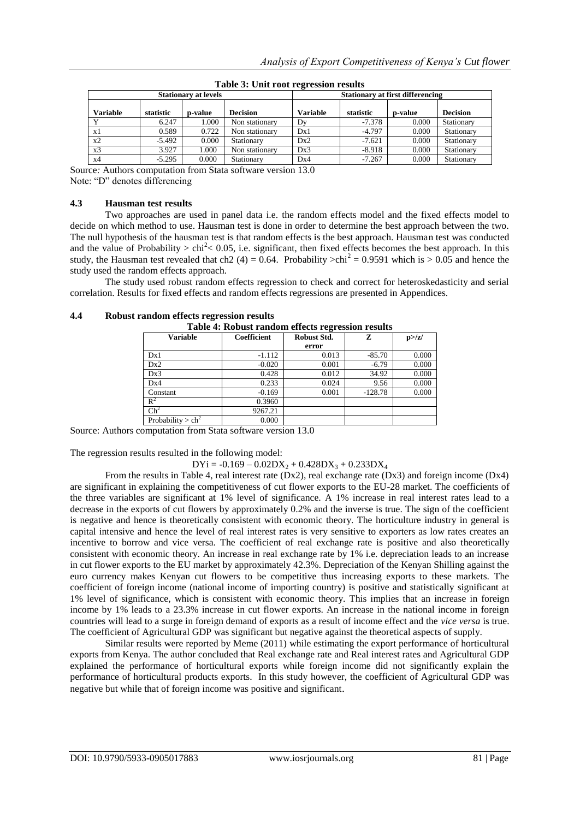|                 | <b>Stationary at levels</b> |         |                 |          | <b>Stationary at first differencing</b> |         |                 |  |
|-----------------|-----------------------------|---------|-----------------|----------|-----------------------------------------|---------|-----------------|--|
| <b>Variable</b> | statistic                   | p-value | <b>Decision</b> | Variable | statistic                               | p-value | <b>Decision</b> |  |
| $\mathbf{v}$    | 6.247                       | 1.000   | Non stationary  | Dy       | $-7.378$                                | 0.000   | Stationary      |  |
| x1              | 0.589                       | 0.722   | Non stationary  | Dx1      | $-4.797$                                | 0.000   | Stationary      |  |
| x2              | $-5.492$                    | 0.000   | Stationary      | Dx2      | $-7.621$                                | 0.000   | Stationary      |  |
| x <sub>3</sub>  | 3.927                       | 000.1   | Non stationary  | Dx3      | $-8.918$                                | 0.000   | Stationary      |  |
| x4              | $-5.295$                    | 0.000   | Stationary      | Dx4      | $-7.267$                                | 0.000   | Stationary      |  |

**Table 3: Unit root regression results**

Source*:* Authors computation from Stata software version 13.0

Note: "D" denotes differencing

#### **4.3 Hausman test results**

Two approaches are used in panel data i.e. the random effects model and the fixed effects model to decide on which method to use. Hausman test is done in order to determine the best approach between the two. The null hypothesis of the hausman test is that random effects is the best approach. Hausman test was conducted and the value of Probability >  $\text{chi}^2$  < 0.05, i.e. significant, then fixed effects becomes the best approach. In this study, the Hausman test revealed that ch2 (4) = 0.64. Probability >chi<sup>2</sup> = 0.9591 which is > 0.05 and hence the study used the random effects approach.

The study used robust random effects regression to check and correct for heteroskedasticity and serial correlation. Results for fixed effects and random effects regressions are presented in Appendices.

| Table 4: Robust random effects regression results |             |             |           |        |  |  |  |
|---------------------------------------------------|-------------|-------------|-----------|--------|--|--|--|
| <b>Variable</b>                                   | Coefficient | Robust Std. | z         | p >  z |  |  |  |
|                                                   |             | error       |           |        |  |  |  |
| Dx1                                               | $-1.112$    | 0.013       | $-85.70$  | 0.000  |  |  |  |
| Dx2                                               | $-0.020$    | 0.001       | $-6.79$   | 0.000  |  |  |  |
| Dx3                                               | 0.428       | 0.012       | 34.92     | 0.000  |  |  |  |
| Dx4                                               | 0.233       | 0.024       | 9.56      | 0.000  |  |  |  |
| Constant                                          | $-0.169$    | 0.001       | $-128.78$ | 0.000  |  |  |  |
| $R^2$                                             | 0.3960      |             |           |        |  |  |  |
| $\text{Ch}^2$                                     | 9267.21     |             |           |        |  |  |  |
| Probability $>$ ch <sup>2</sup>                   | 0.000       |             |           |        |  |  |  |

#### **4.4 Robust random effects regression results**

Source: Authors computation from Stata software version 13.0

The regression results resulted in the following model:

 $DYi = -0.169 - 0.02DX_2 + 0.428DX_3 + 0.233DX_4$ 

From the results in Table 4, real interest rate  $(Dx2)$ , real exchange rate  $(Dx3)$  and foreign income  $(Dx4)$ are significant in explaining the competitiveness of cut flower exports to the EU-28 market. The coefficients of the three variables are significant at 1% level of significance. A 1% increase in real interest rates lead to a decrease in the exports of cut flowers by approximately 0.2% and the inverse is true. The sign of the coefficient is negative and hence is theoretically consistent with economic theory. The horticulture industry in general is capital intensive and hence the level of real interest rates is very sensitive to exporters as low rates creates an incentive to borrow and vice versa. The coefficient of real exchange rate is positive and also theoretically consistent with economic theory. An increase in real exchange rate by 1% i.e. depreciation leads to an increase in cut flower exports to the EU market by approximately 42.3%. Depreciation of the Kenyan Shilling against the euro currency makes Kenyan cut flowers to be competitive thus increasing exports to these markets. The coefficient of foreign income (national income of importing country) is positive and statistically significant at 1% level of significance, which is consistent with economic theory. This implies that an increase in foreign income by 1% leads to a 23.3% increase in cut flower exports. An increase in the national income in foreign countries will lead to a surge in foreign demand of exports as a result of income effect and the *vice versa* is true. The coefficient of Agricultural GDP was significant but negative against the theoretical aspects of supply.

Similar results were reported by Meme (2011) while estimating the export performance of horticultural exports from Kenya. The author concluded that Real exchange rate and Real interest rates and Agricultural GDP explained the performance of horticultural exports while foreign income did not significantly explain the performance of horticultural products exports. In this study however, the coefficient of Agricultural GDP was negative but while that of foreign income was positive and significant.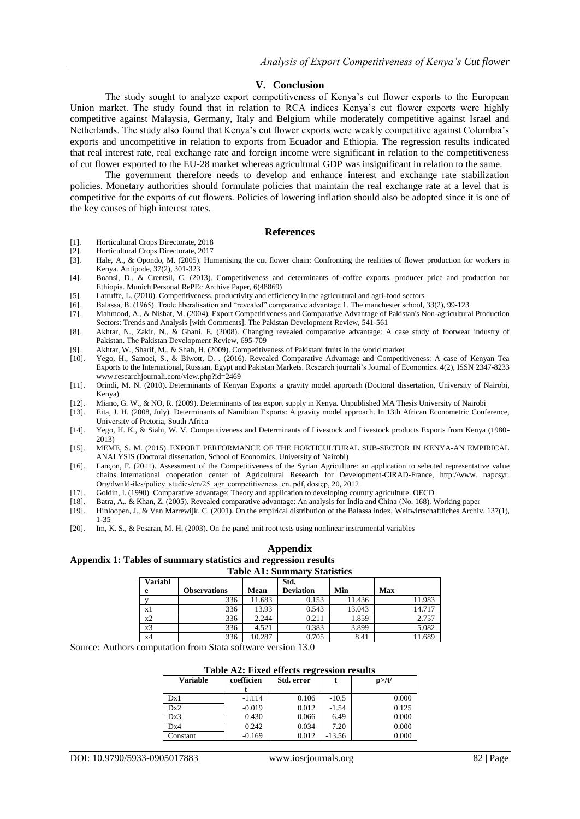### **V. Conclusion**

The study sought to analyze export competitiveness of Kenya's cut flower exports to the European Union market. The study found that in relation to RCA indices Kenya's cut flower exports were highly competitive against Malaysia, Germany, Italy and Belgium while moderately competitive against Israel and Netherlands. The study also found that Kenya's cut flower exports were weakly competitive against Colombia's exports and uncompetitive in relation to exports from Ecuador and Ethiopia. The regression results indicated that real interest rate, real exchange rate and foreign income were significant in relation to the competitiveness of cut flower exported to the EU-28 market whereas agricultural GDP was insignificant in relation to the same.

The government therefore needs to develop and enhance interest and exchange rate stabilization policies. Monetary authorities should formulate policies that maintain the real exchange rate at a level that is competitive for the exports of cut flowers. Policies of lowering inflation should also be adopted since it is one of the key causes of high interest rates.

#### **References**

- [1]. Horticultural Crops Directorate, 2018
- [2]. Horticultural Crops Directorate, 2017<br>[3]. Hale, A., & Opondo, M. (2005). Hui
- Hale, A., & Opondo, M. (2005). Humanising the cut flower chain: Confronting the realities of flower production for workers in Kenya. Antipode, 37(2), 301-323
- [4]. Boansi, D., & Crentsil, C. (2013). Competitiveness and determinants of coffee exports, producer price and production for Ethiopia. Munich Personal RePEc Archive Paper, 6(48869)
- [5]. Latruffe, L. (2010). Competitiveness, productivity and efficiency in the agricultural and agri-food sectors
- [6]. Balassa, B. (1965). Trade liberalisation and "revealed" comparative advantage 1. The manchester school, 33(2), 99-123
- [7]. Mahmood, A., & Nishat, M. (2004). Export Competitiveness and Comparative Advantage of Pakistan's Non-agricultural Production Sectors: Trends and Analysis [with Comments]. The Pakistan Development Review, 541-561
- [8]. Akhtar, N., Zakir, N., & Ghani, E. (2008). Changing revealed comparative advantage: A case study of footwear industry of Pakistan. The Pakistan Development Review, 695-709
- [9]. Akhtar, W., Sharif, M., & Shah, H. (2009). Competitiveness of Pakistani fruits in the world market
- [10]. Yego, H., Samoei, S., & Biwott, D. . (2016). Revealed Comparative Advantage and Competitiveness: A case of Kenyan Tea Exports to the International, Russian, Egypt and Pakistan Markets. Research journali's Journal of Economics. 4(2), ISSN 2347-8233 [www.researchjournali.com/view.php?id=2469](http://www.google.com/url?q=http%3A%2F%2Fwww.researchjournali.com%2Fview.php%3Fid%3D2469&sa=D&sntz=1&usg=AFQjCNEvholDtOvTUz1W-Y5p12KShwJgJA)
- [11]. Orindi, M. N. (2010). Determinants of Kenyan Exports: a gravity model approach (Doctoral dissertation, University of Nairobi, Kenya)
- [12]. Miano, G. W., & NO, R. (2009). Determinants of tea export supply in Kenya. Unpublished MA Thesis University of Nairobi
- [13]. Eita, J. H. (2008, July). Determinants of Namibian Exports: A gravity model approach. In 13th African Econometric Conference, University of Pretoria, South Africa
- [14]. Yego, H. K., & Siahi, W. V. Competitiveness and Determinants of Livestock and Livestock products Exports from Kenya (1980- 2013)
- [15]. MEME, S. M. (2015). EXPORT PERFORMANCE OF THE HORTICULTURAL SUB-SECTOR IN KENYA-AN EMPIRICAL ANALYSIS (Doctoral dissertation, School of Economics, University of Nairobi)
- [16]. Lançon, F. (2011). Assessment of the Competitiveness of the Syrian Agriculture: an application to selected representative value chains. International cooperation center of Agricultural Research for Development-CIRAD-France, http://www. napcsyr. Org/dwnld-iles/policy\_studies/en/25\_agr\_competitiveness\_en. pdf, dostęp, 20, 2012
- [17]. Goldin, I. (1990). Comparative advantage: Theory and application to developing country agriculture. OECD
- [18]. Batra, A., & Khan, Z. (2005). Revealed comparative advantage: An analysis for India and China (No. 168). Working paper
- [19]. Hinloopen, J., & Van Marrewijk, C. (2001). On the empirical distribution of the Balassa index. Weltwirtschaftliches Archiv, 137(1), 1-35
- [20]. Im, K. S., & Pesaran, M. H. (2003). On the panel unit root tests using nonlinear instrumental variables

#### **Appendix**

#### **Appendix 1: Tables of summary statistics and regression results Table A1: Summary Statistics**

| Variabl        |              |        | Std.             |        |        |
|----------------|--------------|--------|------------------|--------|--------|
| e              | Observations | Mean   | <b>Deviation</b> | Min    | Max    |
|                | 336          | 11.683 | 0.153            | 11.436 | 11.983 |
| x1             | 336          | 13.93  | 0.543            | 13.043 | 14.717 |
| x <sub>2</sub> | 336          | 2.244  | 0.211            | 1.859  | 2.757  |
| x <sub>3</sub> | 336          | 4.521  | 0.383            | 3.899  | 5.082  |
| x4             | 336          | 10.287 | 0.705            | 8.41   | 11.689 |

Source*:* Authors computation from Stata software version 13.0

# **Table A2: Fixed effects regression results**

| Variable | coefficien | Std. error |          | $p$ >/t/ |  |
|----------|------------|------------|----------|----------|--|
|          |            |            |          |          |  |
| Dx1      | $-1.114$   | 0.106      | $-10.5$  | 0.000    |  |
| Dx2      | $-0.019$   | 0.012      | $-1.54$  | 0.125    |  |
| Dx3      | 0.430      | 0.066      | 6.49     | 0.000    |  |
| Dx4      | 0.242      | 0.034      | 7.20     | 0.000    |  |
| Constant | $-0.169$   | 0.012      | $-13.56$ | 0.000    |  |